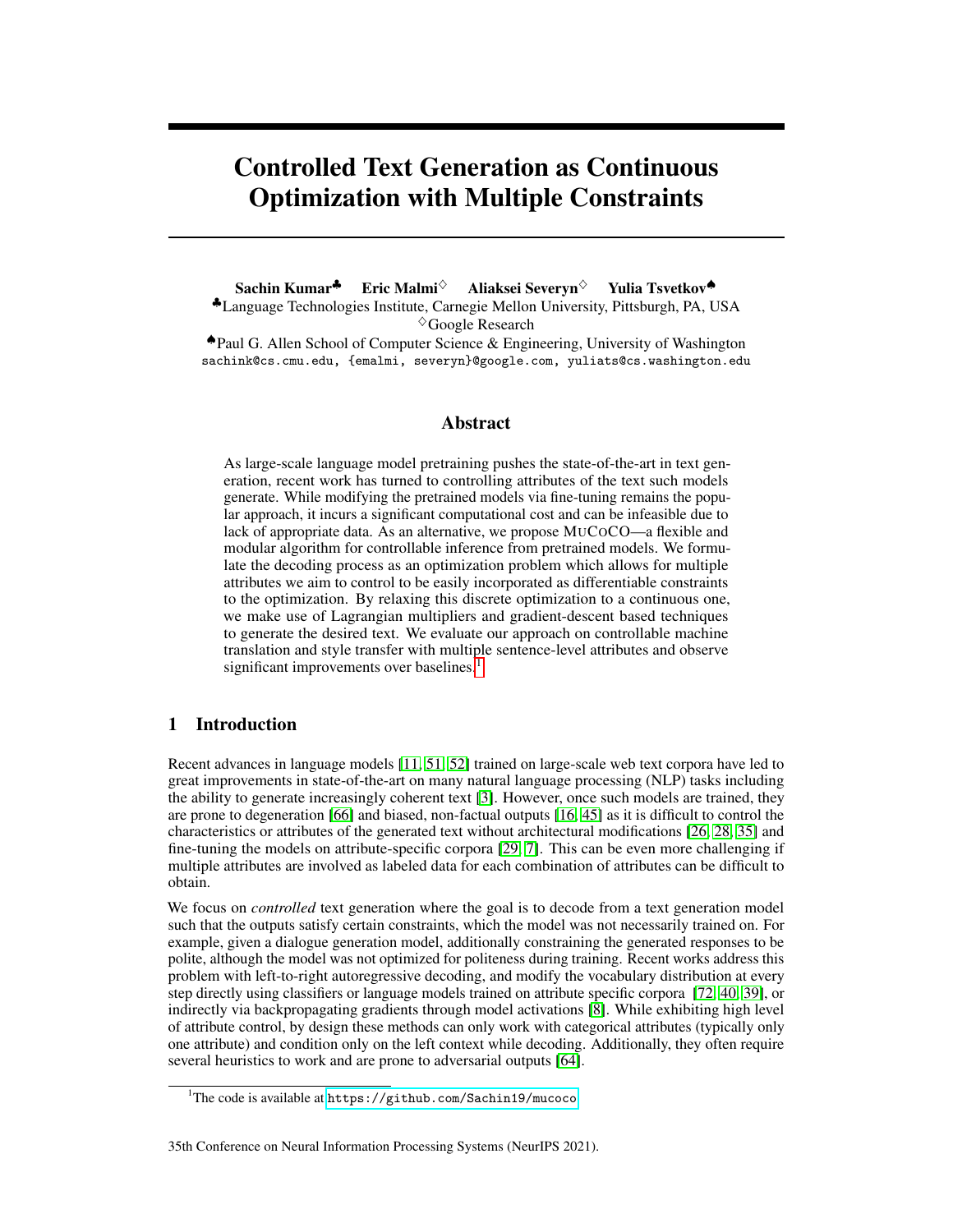# Controlled Text Generation as Continuous Optimization with Multiple Constraints

Sachin Kumar<sup>↓</sup> Eric Malmi<sup>◇</sup> Aliaksei Severyn<sup>◇</sup> Yulia Tsvetkov◆ ♣Language Technologies Institute, Carnegie Mellon University, Pittsburgh, PA, USA  $\Diamond$ Google Research

♠Paul G. Allen School of Computer Science & Engineering, University of Washington sachink@cs.cmu.edu, {emalmi, severyn}@google.com, yuliats@cs.washington.edu

## Abstract

As large-scale language model pretraining pushes the state-of-the-art in text generation, recent work has turned to controlling attributes of the text such models generate. While modifying the pretrained models via fine-tuning remains the popular approach, it incurs a significant computational cost and can be infeasible due to lack of appropriate data. As an alternative, we propose MUCOCO—a flexible and modular algorithm for controllable inference from pretrained models. We formulate the decoding process as an optimization problem which allows for multiple attributes we aim to control to be easily incorporated as differentiable constraints to the optimization. By relaxing this discrete optimization to a continuous one, we make use of Lagrangian multipliers and gradient-descent based techniques to generate the desired text. We evaluate our approach on controllable machine translation and style transfer with multiple sentence-level attributes and observe significant improvements over baselines.<sup>[1](#page-0-0)</sup>

# 1 Introduction

Recent advances in language models [\[11,](#page-10-0) [51,](#page-11-0) [52\]](#page-11-1) trained on large-scale web text corpora have led to great improvements in state-of-the-art on many natural language processing (NLP) tasks including the ability to generate increasingly coherent text [\[3\]](#page-9-0). However, once such models are trained, they are prone to degeneration [\[66\]](#page-12-0) and biased, non-factual outputs [\[16,](#page-10-1) [45\]](#page-11-2) as it is difficult to control the characteristics or attributes of the generated text without architectural modifications [\[26,](#page-10-2) [28,](#page-11-3) [35\]](#page-11-4) and fine-tuning the models on attribute-specific corpora [\[29,](#page-11-5) [7\]](#page-10-3). This can be even more challenging if multiple attributes are involved as labeled data for each combination of attributes can be difficult to obtain.

We focus on *controlled* text generation where the goal is to decode from a text generation model such that the outputs satisfy certain constraints, which the model was not necessarily trained on. For example, given a dialogue generation model, additionally constraining the generated responses to be polite, although the model was not optimized for politeness during training. Recent works address this problem with left-to-right autoregressive decoding, and modify the vocabulary distribution at every step directly using classifiers or language models trained on attribute specific corpora [\[72,](#page-12-1) [40,](#page-11-6) [39\]](#page-11-7), or indirectly via backpropagating gradients through model activations [\[8\]](#page-10-4). While exhibiting high level of attribute control, by design these methods can only work with categorical attributes (typically only one attribute) and condition only on the left context while decoding. Additionally, they often require several heuristics to work and are prone to adversarial outputs [\[64\]](#page-12-2).

#### 35th Conference on Neural Information Processing Systems (NeurIPS 2021).

<span id="page-0-0"></span><sup>&</sup>lt;sup>1</sup>The code is available at <https://github.com/Sachin19/mucoco>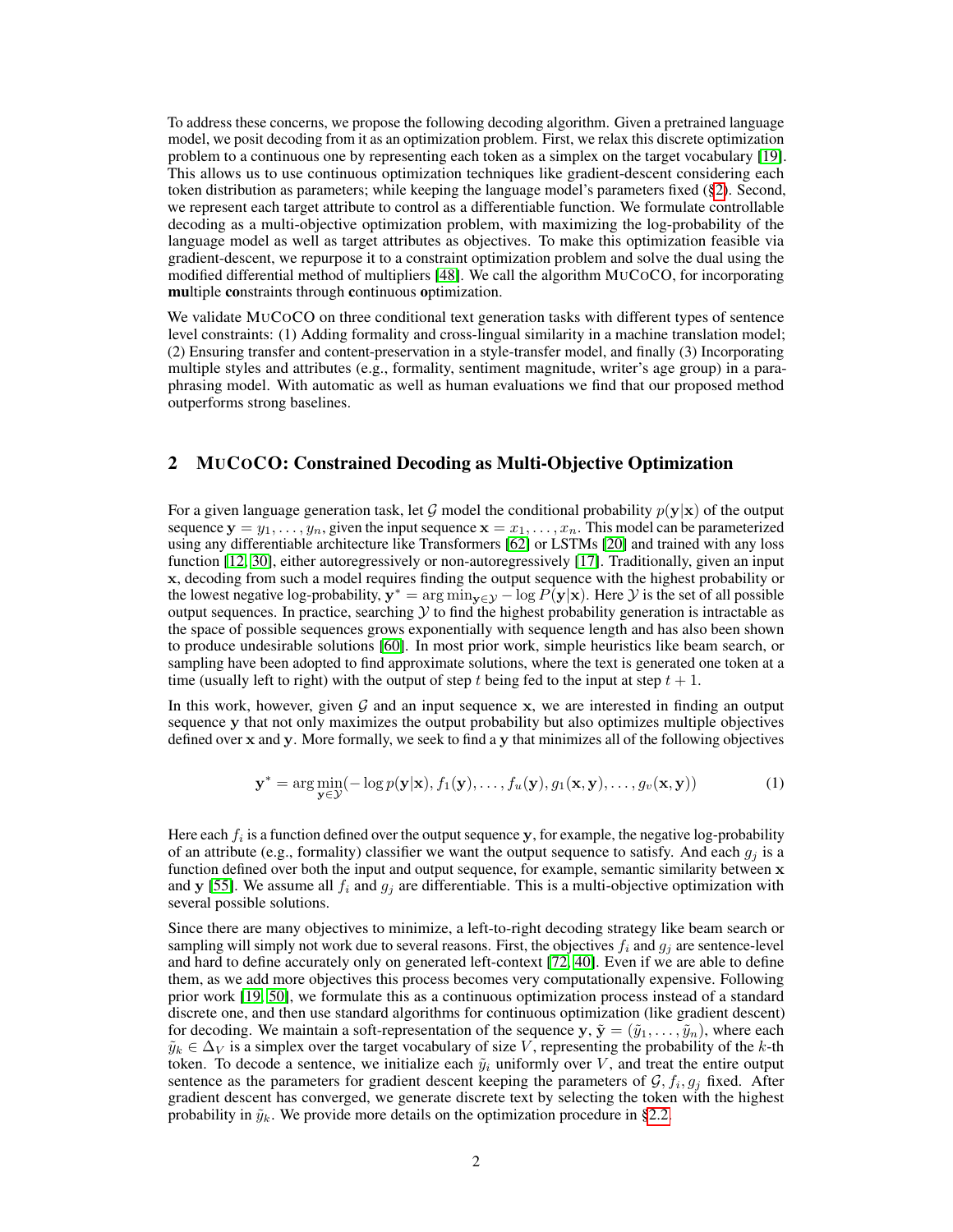To address these concerns, we propose the following decoding algorithm. Given a pretrained language model, we posit decoding from it as an optimization problem. First, we relax this discrete optimization problem to a continuous one by representing each token as a simplex on the target vocabulary [\[19\]](#page-10-5). This allows us to use continuous optimization techniques like gradient-descent considering each token distribution as parameters; while keeping the language model's parameters fixed ([§2\)](#page-1-0). Second, we represent each target attribute to control as a differentiable function. We formulate controllable decoding as a multi-objective optimization problem, with maximizing the log-probability of the language model as well as target attributes as objectives. To make this optimization feasible via gradient-descent, we repurpose it to a constraint optimization problem and solve the dual using the modified differential method of multipliers [\[48\]](#page-11-8). We call the algorithm MUCOCO, for incorporating multiple constraints through continuous optimization.

We validate MUCOCO on three conditional text generation tasks with different types of sentence level constraints: (1) Adding formality and cross-lingual similarity in a machine translation model; (2) Ensuring transfer and content-preservation in a style-transfer model, and finally (3) Incorporating multiple styles and attributes (e.g., formality, sentiment magnitude, writer's age group) in a paraphrasing model. With automatic as well as human evaluations we find that our proposed method outperforms strong baselines.

## <span id="page-1-0"></span>2 MUCOCO: Constrained Decoding as Multi-Objective Optimization

For a given language generation task, let G model the conditional probability  $p(y|x)$  of the output sequence  $y = y_1, \ldots, y_n$ , given the input sequence  $x = x_1, \ldots, x_n$ . This model can be parameterized using any differentiable architecture like Transformers [\[62\]](#page-12-3) or LSTMs [\[20\]](#page-10-6) and trained with any loss function [\[12,](#page-10-7) [30\]](#page-11-9), either autoregressively or non-autoregressively [\[17\]](#page-10-8). Traditionally, given an input x, decoding from such a model requires finding the output sequence with the highest probability or the lowest negative log-probability,  $y^* = \arg \min_{y \in \mathcal{Y}} -\log P(y|x)$ . Here  $\mathcal Y$  is the set of all possible output sequences. In practice, searching  $Y$  to find the highest probability generation is intractable as the space of possible sequences grows exponentially with sequence length and has also been shown to produce undesirable solutions [\[60\]](#page-12-4). In most prior work, simple heuristics like beam search, or sampling have been adopted to find approximate solutions, where the text is generated one token at a time (usually left to right) with the output of step t being fed to the input at step  $t + 1$ .

In this work, however, given  $G$  and an input sequence x, we are interested in finding an output sequence y that not only maximizes the output probability but also optimizes multiple objectives defined over x and y. More formally, we seek to find a y that minimizes all of the following objectives

<span id="page-1-1"></span>
$$
\mathbf{y}^* = \arg\min_{\mathbf{y}\in\mathcal{Y}}(-\log p(\mathbf{y}|\mathbf{x}), f_1(\mathbf{y}), \dots, f_u(\mathbf{y}), g_1(\mathbf{x}, \mathbf{y}), \dots, g_v(\mathbf{x}, \mathbf{y}))
$$
(1)

Here each  $f_i$  is a function defined over the output sequence y, for example, the negative log-probability of an attribute (e.g., formality) classifier we want the output sequence to satisfy. And each  $g_i$  is a function defined over both the input and output sequence, for example, semantic similarity between  $x$ and y [\[55\]](#page-12-5). We assume all  $f_i$  and  $g_j$  are differentiable. This is a multi-objective optimization with several possible solutions.

Since there are many objectives to minimize, a left-to-right decoding strategy like beam search or sampling will simply not work due to several reasons. First, the objectives  $f_i$  and  $g_j$  are sentence-level and hard to define accurately only on generated left-context [\[72,](#page-12-1) [40\]](#page-11-6). Even if we are able to define them, as we add more objectives this process becomes very computationally expensive. Following prior work [\[19,](#page-10-5) [50\]](#page-11-10), we formulate this as a continuous optimization process instead of a standard discrete one, and then use standard algorithms for continuous optimization (like gradient descent) for decoding. We maintain a soft-representation of the sequence  $y, \tilde{y} = (\tilde{y}_1, \dots, \tilde{y}_n)$ , where each  $\tilde{y}_k \in \Delta_V$  is a simplex over the target vocabulary of size V, representing the probability of the k-th token. To decode a sentence, we initialize each  $\tilde{y}_i$  uniformly over V, and treat the entire output sentence as the parameters for gradient descent keeping the parameters of  $\mathcal{G}, f_i, g_j$  fixed. After gradient descent has converged, we generate discrete text by selecting the token with the highest probability in  $\tilde{y}_k$ . We provide more details on the optimization procedure in [§2.2.](#page-3-0)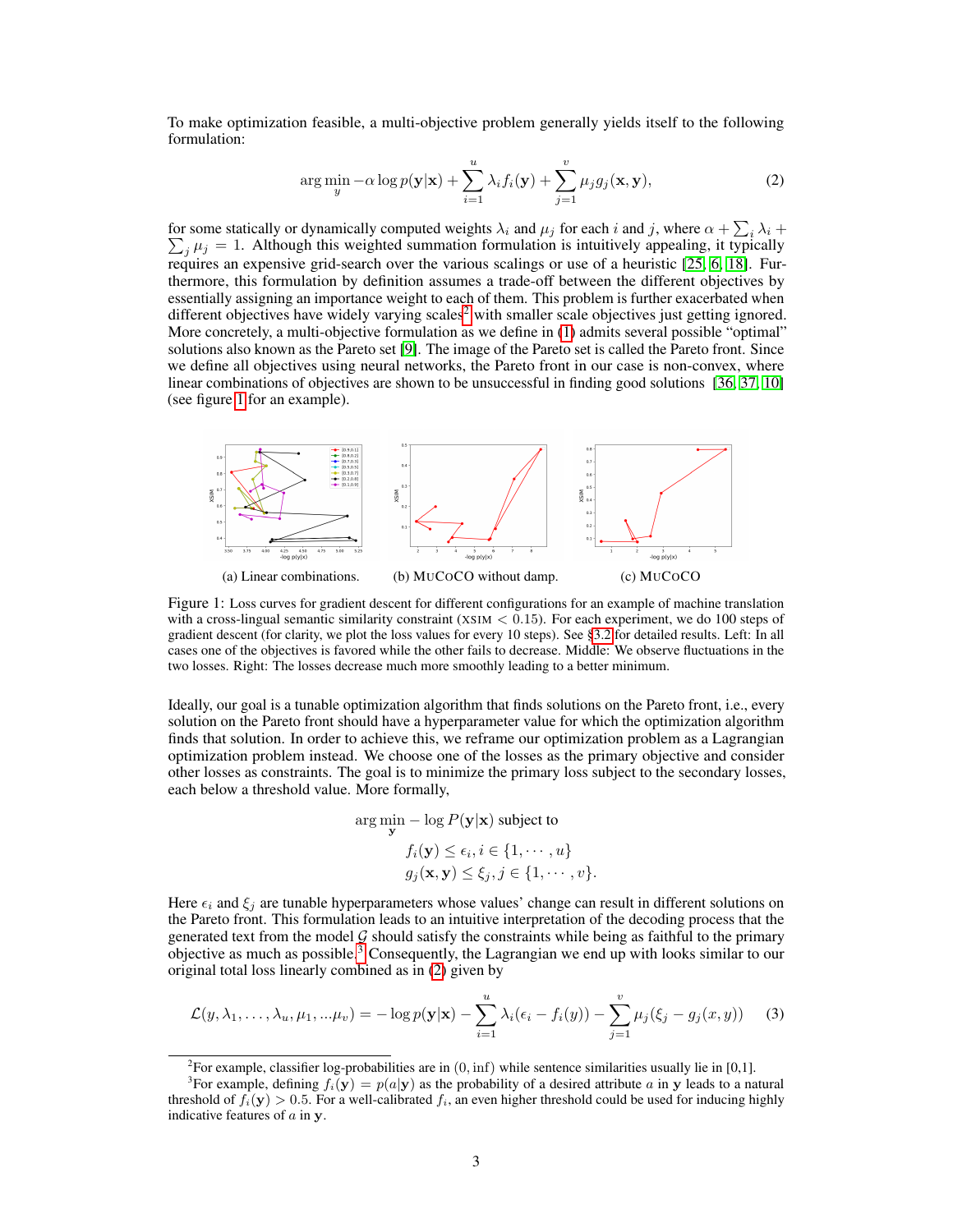To make optimization feasible, a multi-objective problem generally yields itself to the following formulation:

<span id="page-2-3"></span>
$$
\arg\min_{y} -\alpha \log p(\mathbf{y}|\mathbf{x}) + \sum_{i=1}^{u} \lambda_i f_i(\mathbf{y}) + \sum_{j=1}^{v} \mu_j g_j(\mathbf{x}, \mathbf{y}),
$$
\n(2)

for some statically or dynamically computed weights  $\lambda_i$  and  $\mu_j$  for each i and j, where  $\alpha + \sum_i \lambda_i +$  $\sum_j \mu_j = 1$ . Although this weighted summation formulation is intuitively appealing, it typically requires an expensive grid-search over the various scalings or use of a heuristic [\[25,](#page-10-9) [6,](#page-10-10) [18\]](#page-10-11). Furthermore, this formulation by definition assumes a trade-off between the different objectives by essentially assigning an importance weight to each of them. This problem is further exacerbated when different objectives have widely varying scales<sup>[2](#page-2-0)</sup> with smaller scale objectives just getting ignored. More concretely, a multi-objective formulation as we define in  $(1)$  admits several possible "optimal" solutions also known as the Pareto set [\[9\]](#page-10-12). The image of the Pareto set is called the Pareto front. Since we define all objectives using neural networks, the Pareto front in our case is non-convex, where linear combinations of objectives are shown to be unsuccessful in finding good solutions [\[36,](#page-11-11) [37,](#page-11-12) [10\]](#page-10-13) (see figure [1](#page-2-1) for an example).

<span id="page-2-1"></span>

Figure 1: Loss curves for gradient descent for different configurations for an example of machine translation with a cross-lingual semantic similarity constraint (XSIM  $<$  0.15). For each experiment, we do 100 steps of gradient descent (for clarity, we plot the loss values for every 10 steps). See [§3.2](#page-6-0) for detailed results. Left: In all cases one of the objectives is favored while the other fails to decrease. Middle: We observe fluctuations in the two losses. Right: The losses decrease much more smoothly leading to a better minimum.

Ideally, our goal is a tunable optimization algorithm that finds solutions on the Pareto front, i.e., every solution on the Pareto front should have a hyperparameter value for which the optimization algorithm finds that solution. In order to achieve this, we reframe our optimization problem as a Lagrangian optimization problem instead. We choose one of the losses as the primary objective and consider other losses as constraints. The goal is to minimize the primary loss subject to the secondary losses, each below a threshold value. More formally,

$$
\arg\min_{\mathbf{y}} - \log P(\mathbf{y}|\mathbf{x}) \text{ subject to}
$$

$$
f_i(\mathbf{y}) \le \epsilon_i, i \in \{1, \cdots, u\}
$$

$$
g_j(\mathbf{x}, \mathbf{y}) \le \xi_j, j \in \{1, \cdots, v\}.
$$

Here  $\epsilon_i$  and  $\xi_j$  are tunable hyperparameters whose values' change can result in different solutions on the Pareto front. This formulation leads to an intuitive interpretation of the decoding process that the generated text from the model  $G$  should satisfy the constraints while being as faithful to the primary objective as much as possible.[3](#page-2-2) Consequently, the Lagrangian we end up with looks similar to our original total loss linearly combined as in [\(2\)](#page-2-3) given by

$$
\mathcal{L}(y,\lambda_1,\ldots,\lambda_u,\mu_1,\ldots\mu_v)=-\log p(\mathbf{y}|\mathbf{x})-\sum_{i=1}^u\lambda_i(\epsilon_i-f_i(y))-\sum_{j=1}^v\mu_j(\xi_j-g_j(x,y))\qquad(3)
$$

<span id="page-2-2"></span><span id="page-2-0"></span><sup>2</sup>For example, classifier log-probabilities are in  $(0, \inf)$  while sentence similarities usually lie in [0,1].

<sup>&</sup>lt;sup>3</sup>For example, defining  $f_i(\mathbf{y}) = p(a|\mathbf{y})$  as the probability of a desired attribute a in y leads to a natural threshold of  $f_i(\mathbf{y}) > 0.5$ . For a well-calibrated  $f_i$ , an even higher threshold could be used for inducing highly indicative features of  $a$  in  $y$ .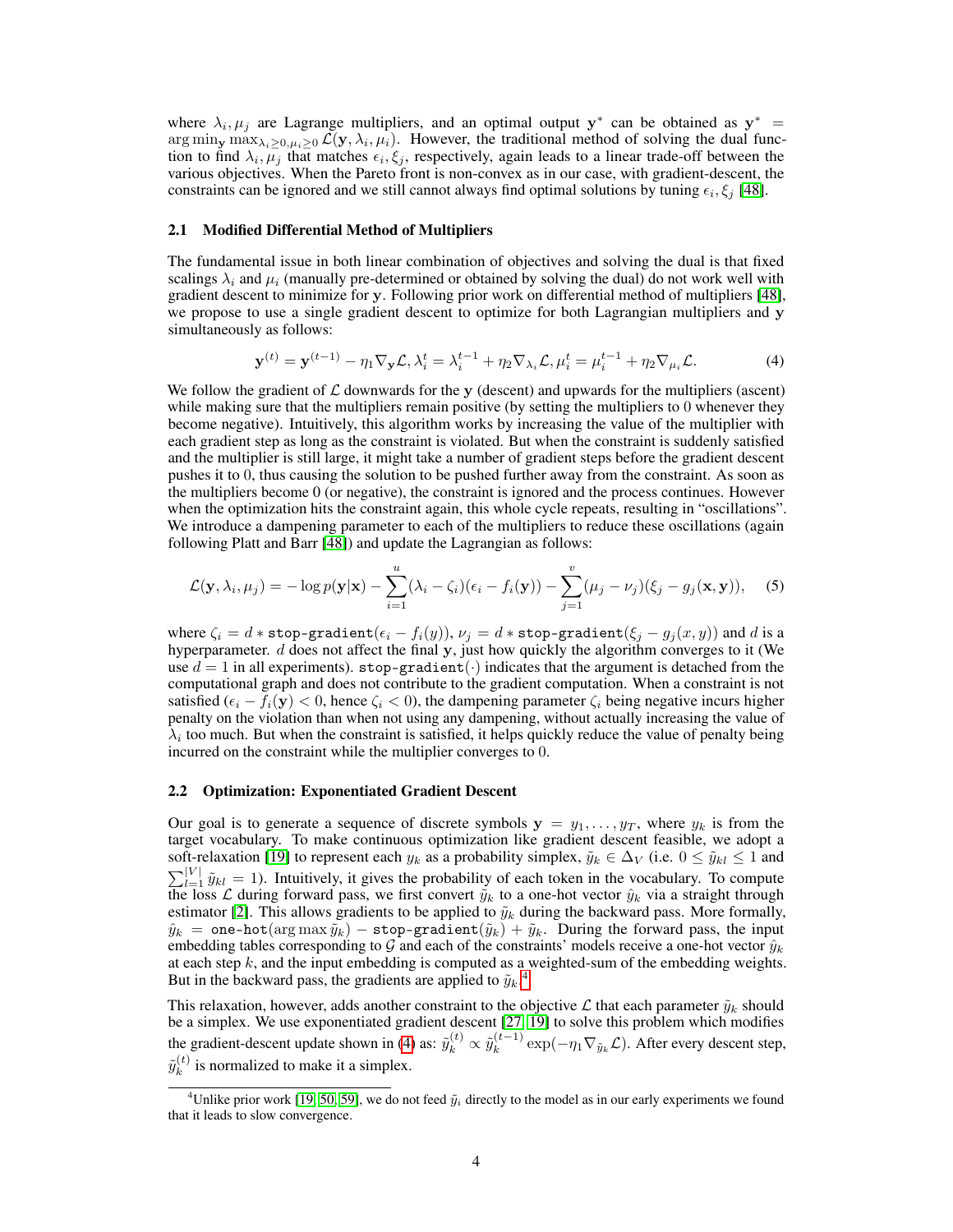where  $\lambda_i, \mu_j$  are Lagrange multipliers, and an optimal output y<sup>\*</sup> can be obtained as y<sup>\*</sup> =  $\arg\min_{\mathbf{y}} \max_{\lambda_i \geq 0, \mu_i \geq 0} \mathcal{L}(\mathbf{y}, \lambda_i, \mu_i)$ . However, the traditional method of solving the dual function to find  $\lambda_i, \bar{\mu}_j$  that matches  $\epsilon_i, \xi_j$ , respectively, again leads to a linear trade-off between the various objectives. When the Pareto front is non-convex as in our case, with gradient-descent, the constraints can be ignored and we still cannot always find optimal solutions by tuning  $\epsilon_i, \xi_j$  [\[48\]](#page-11-8).

#### 2.1 Modified Differential Method of Multipliers

The fundamental issue in both linear combination of objectives and solving the dual is that fixed scalings  $\lambda_i$  and  $\mu_i$  (manually pre-determined or obtained by solving the dual) do not work well with gradient descent to minimize for y. Following prior work on differential method of multipliers [\[48\]](#page-11-8), we propose to use a single gradient descent to optimize for both Lagrangian multipliers and y simultaneously as follows:

<span id="page-3-2"></span>
$$
\mathbf{y}^{(t)} = \mathbf{y}^{(t-1)} - \eta_1 \nabla_{\mathbf{y}} \mathcal{L}, \lambda_i^t = \lambda_i^{t-1} + \eta_2 \nabla_{\lambda_i} \mathcal{L}, \mu_i^t = \mu_i^{t-1} + \eta_2 \nabla_{\mu_i} \mathcal{L}.
$$
 (4)

We follow the gradient of  $\mathcal L$  downwards for the y (descent) and upwards for the multipliers (ascent) while making sure that the multipliers remain positive (by setting the multipliers to 0 whenever they become negative). Intuitively, this algorithm works by increasing the value of the multiplier with each gradient step as long as the constraint is violated. But when the constraint is suddenly satisfied and the multiplier is still large, it might take a number of gradient steps before the gradient descent pushes it to 0, thus causing the solution to be pushed further away from the constraint. As soon as the multipliers become 0 (or negative), the constraint is ignored and the process continues. However when the optimization hits the constraint again, this whole cycle repeats, resulting in "oscillations". We introduce a dampening parameter to each of the multipliers to reduce these oscillations (again following Platt and Barr [\[48\]](#page-11-8)) and update the Lagrangian as follows:

$$
\mathcal{L}(\mathbf{y}, \lambda_i, \mu_j) = -\log p(\mathbf{y}|\mathbf{x}) - \sum_{i=1}^u (\lambda_i - \zeta_i)(\epsilon_i - f_i(\mathbf{y})) - \sum_{j=1}^v (\mu_j - \nu_j)(\xi_j - g_j(\mathbf{x}, \mathbf{y})),
$$
 (5)

where  $\zeta_i = d * \text{stop-gradient}(\epsilon_i - f_i(y)), v_j = d * \text{stop-gradient}(\xi_j - g_j(x, y))$  and d is a hyperparameter.  $d$  does not affect the final  $y$ , just how quickly the algorithm converges to it (We use  $d = 1$  in all experiments). stop-gradient( $\cdot$ ) indicates that the argument is detached from the computational graph and does not contribute to the gradient computation. When a constraint is not satisfied  $(\epsilon_i - f_i(\mathbf{y}) < 0$ , hence  $\zeta_i < 0$ , the dampening parameter  $\zeta_i$  being negative incurs higher penalty on the violation than when not using any dampening, without actually increasing the value of  $\lambda_i$  too much. But when the constraint is satisfied, it helps quickly reduce the value of penalty being incurred on the constraint while the multiplier converges to 0.

#### <span id="page-3-0"></span>2.2 Optimization: Exponentiated Gradient Descent

Our goal is to generate a sequence of discrete symbols  $y = y_1, \ldots, y_T$ , where  $y_k$  is from the target vocabulary. To make continuous optimization like gradient descent feasible, we adopt a soft-relaxation [\[19\]](#page-10-5) to represent each  $y_k$  as a probability simplex,  $\tilde{y}_k \in \Delta_V$  (i.e.  $0 \le \tilde{y}_{kl} \le 1$  and  $\sum_{l=1}^{|V|} \tilde{y}_{kl} = 1$ ). Intuitively, it gives the probability of each token in the vocabulary. To compute the loss L during forward pass, we first convert  $\tilde{y}_k$  to a one-hot vector  $\hat{y}_k$  via a straight through estimator [\[2\]](#page-9-1). This allows gradients to be applied to  $\tilde{y}_k$  during the backward pass. More formally,  $\hat{y}_k = \texttt{one-hot}(\argmax \tilde{y}_k) - \texttt{stop-gradient}(\tilde{y}_k) + \tilde{y}_k$ . During the forward pass, the input embedding tables corresponding to G and each of the constraints' models receive a one-hot vector  $\hat{y}_k$ at each step  $k$ , and the input embedding is computed as a weighted-sum of the embedding weights. But in the backward pass, the gradients are applied to  $\tilde{y}_k$ .<sup>[4](#page-3-1)</sup>

This relaxation, however, adds another constraint to the objective L that each parameter  $\tilde{y}_k$  should be a simplex. We use exponentiated gradient descent [\[27,](#page-10-14) [19\]](#page-10-5) to solve this problem which modifies the gradient-descent update shown in [\(4\)](#page-3-2) as:  $\tilde{y}_k^{(t)} \propto \tilde{y}_k^{(t-1)}$  $\int_k^{(t-1)} \exp(-\eta_1 \nabla_{\tilde{y}_k} \mathcal{L})$ . After every descent step,  $\tilde{y}^{(t)}_k$  $\kappa^{(t)}$  is normalized to make it a simplex.

<span id="page-3-1"></span><sup>&</sup>lt;sup>4</sup>Unlike prior work [\[19,](#page-10-5) [50,](#page-11-10) [59\]](#page-12-6), we do not feed  $\tilde{y}_i$  directly to the model as in our early experiments we found that it leads to slow convergence.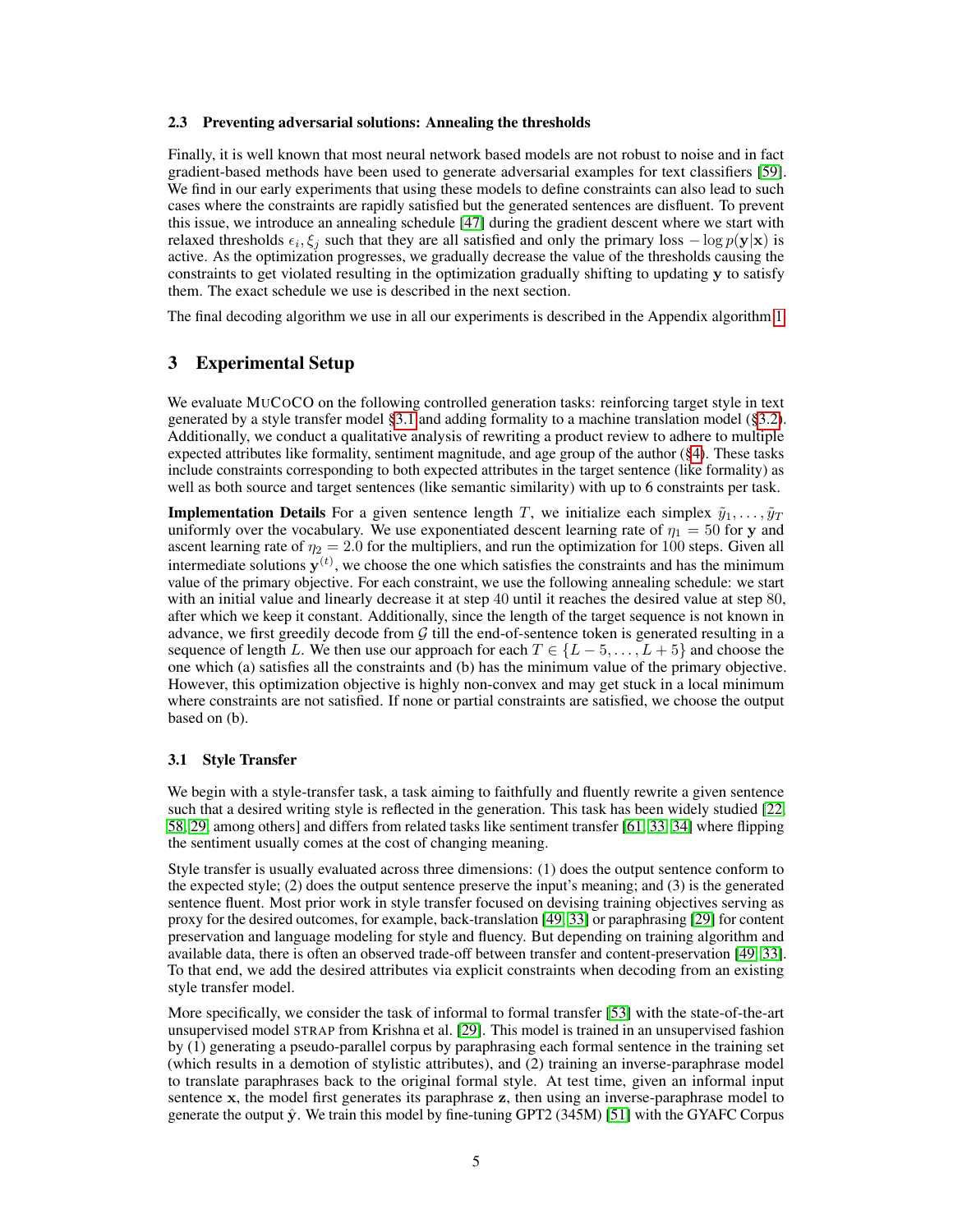#### 2.3 Preventing adversarial solutions: Annealing the thresholds

Finally, it is well known that most neural network based models are not robust to noise and in fact gradient-based methods have been used to generate adversarial examples for text classifiers [\[59\]](#page-12-6). We find in our early experiments that using these models to define constraints can also lead to such cases where the constraints are rapidly satisfied but the generated sentences are disfluent. To prevent this issue, we introduce an annealing schedule [\[47\]](#page-11-13) during the gradient descent where we start with relaxed thresholds  $\epsilon_i, \xi_j$  such that they are all satisfied and only the primary loss  $-\log p(\mathbf{y}|\mathbf{x})$  is active. As the optimization progresses, we gradually decrease the value of the thresholds causing the constraints to get violated resulting in the optimization gradually shifting to updating y to satisfy them. The exact schedule we use is described in the next section.

The final decoding algorithm we use in all our experiments is described in the Appendix algorithm 1.

# 3 Experimental Setup

We evaluate MUCOCO on the following controlled generation tasks: reinforcing target style in text generated by a style transfer model [§3.1](#page-4-0) and adding formality to a machine translation model ([§3.2\)](#page-6-0). Additionally, we conduct a qualitative analysis of rewriting a product review to adhere to multiple expected attributes like formality, sentiment magnitude, and age group of the author ([§4\)](#page-7-0). These tasks include constraints corresponding to both expected attributes in the target sentence (like formality) as well as both source and target sentences (like semantic similarity) with up to 6 constraints per task.

**Implementation Details** For a given sentence length T, we initialize each simplex  $\tilde{y}_1, \ldots, \tilde{y}_T$ uniformly over the vocabulary. We use exponentiated descent learning rate of  $\eta_1 = 50$  for y and ascent learning rate of  $\eta_2 = 2.0$  for the multipliers, and run the optimization for 100 steps. Given all intermediate solutions  $y^{(t)}$ , we choose the one which satisfies the constraints and has the minimum value of the primary objective. For each constraint, we use the following annealing schedule: we start with an initial value and linearly decrease it at step 40 until it reaches the desired value at step 80, after which we keep it constant. Additionally, since the length of the target sequence is not known in advance, we first greedily decode from  $G$  till the end-of-sentence token is generated resulting in a sequence of length L. We then use our approach for each  $T \in \{L-5,\ldots,L+5\}$  and choose the one which (a) satisfies all the constraints and (b) has the minimum value of the primary objective. However, this optimization objective is highly non-convex and may get stuck in a local minimum where constraints are not satisfied. If none or partial constraints are satisfied, we choose the output based on (b).

#### <span id="page-4-0"></span>3.1 Style Transfer

We begin with a style-transfer task, a task aiming to faithfully and fluently rewrite a given sentence such that a desired writing style is reflected in the generation. This task has been widely studied [\[22,](#page-10-15) [58,](#page-12-7) [29,](#page-11-5) among others] and differs from related tasks like sentiment transfer [\[61,](#page-12-8) [33,](#page-11-14) [34\]](#page-11-15) where flipping the sentiment usually comes at the cost of changing meaning.

Style transfer is usually evaluated across three dimensions: (1) does the output sentence conform to the expected style; (2) does the output sentence preserve the input's meaning; and (3) is the generated sentence fluent. Most prior work in style transfer focused on devising training objectives serving as proxy for the desired outcomes, for example, back-translation [\[49,](#page-11-16) [33\]](#page-11-14) or paraphrasing [\[29\]](#page-11-5) for content preservation and language modeling for style and fluency. But depending on training algorithm and available data, there is often an observed trade-off between transfer and content-preservation [\[49,](#page-11-16) [33\]](#page-11-14). To that end, we add the desired attributes via explicit constraints when decoding from an existing style transfer model.

More specifically, we consider the task of informal to formal transfer [\[53\]](#page-12-9) with the state-of-the-art unsupervised model STRAP from Krishna et al. [\[29\]](#page-11-5). This model is trained in an unsupervised fashion by (1) generating a pseudo-parallel corpus by paraphrasing each formal sentence in the training set (which results in a demotion of stylistic attributes), and (2) training an inverse-paraphrase model to translate paraphrases back to the original formal style. At test time, given an informal input sentence x, the model first generates its paraphrase z, then using an inverse-paraphrase model to generate the output  $\hat{y}$ . We train this model by fine-tuning GPT2 (345M) [\[51\]](#page-11-0) with the GYAFC Corpus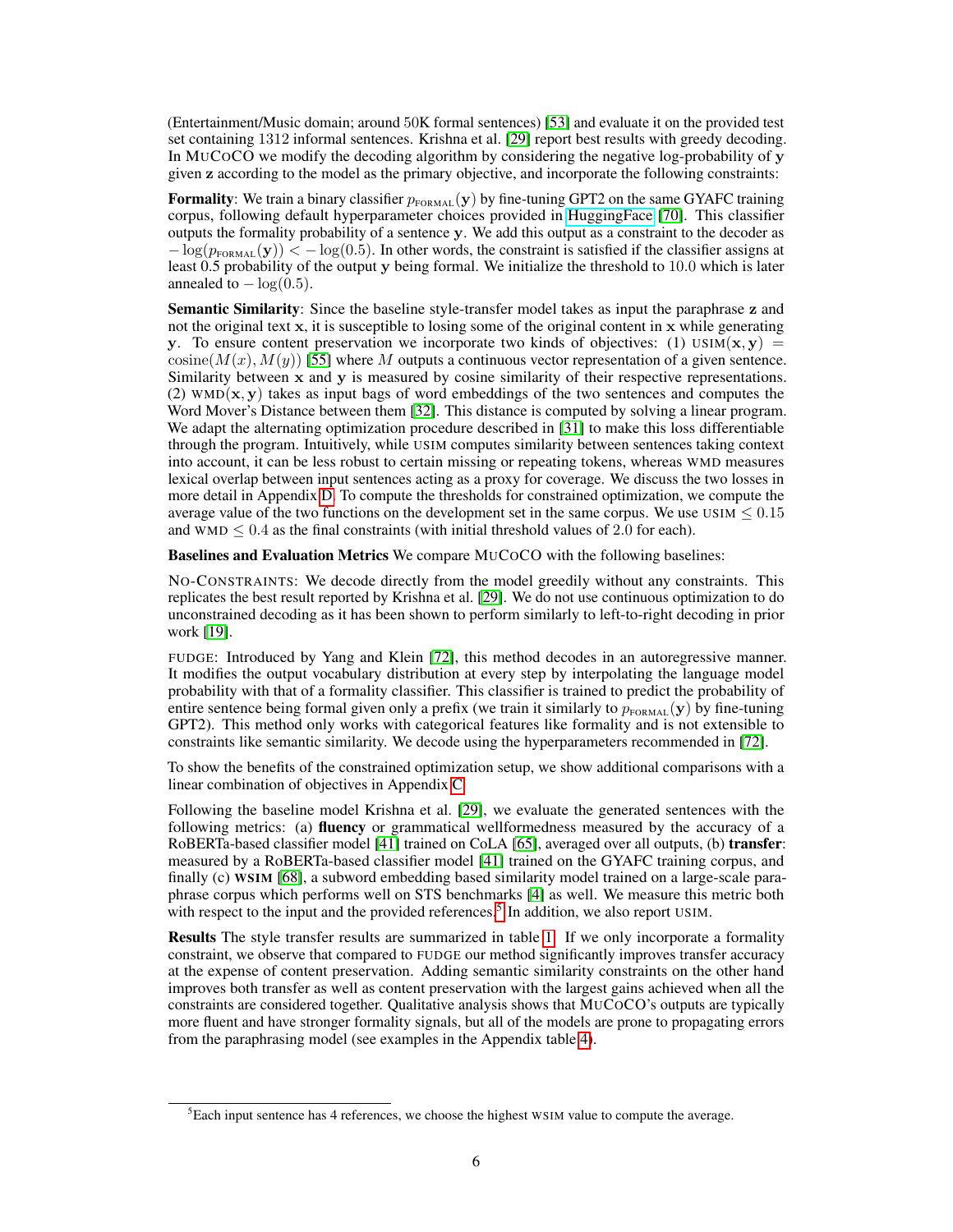(Entertainment/Music domain; around 50K formal sentences) [\[53\]](#page-12-9) and evaluate it on the provided test set containing 1312 informal sentences. Krishna et al. [\[29\]](#page-11-5) report best results with greedy decoding. In MUCOCO we modify the decoding algorithm by considering the negative log-probability of  $\bf{v}$ given z according to the model as the primary objective, and incorporate the following constraints:

Formality: We train a binary classifier  $p_{\text{FORMAL}}(\mathbf{y})$  by fine-tuning GPT2 on the same GYAFC training corpus, following default hyperparameter choices provided in [HuggingFace](https://huggingface.co/transformers/training.html) [\[70\]](#page-12-10). This classifier outputs the formality probability of a sentence y. We add this output as a constraint to the decoder as  $-\log(p_{\text{FORMAL}}(\mathbf{y})) < -\log(0.5)$ . In other words, the constraint is satisfied if the classifier assigns at least 0.5 probability of the output y being formal. We initialize the threshold to 10.0 which is later annealed to  $-\log(0.5)$ .

Semantic Similarity: Since the baseline style-transfer model takes as input the paraphrase z and not the original text x, it is susceptible to losing some of the original content in x while generating y. To ensure content preservation we incorporate two kinds of objectives: (1) USIM( $x, y$ ) =  $\text{cosine}(M(x), M(y))$  [\[55\]](#page-12-5) where M outputs a continuous vector representation of a given sentence. Similarity between x and y is measured by cosine similarity of their respective representations. (2)  $WMD(x, y)$  takes as input bags of word embeddings of the two sentences and computes the Word Mover's Distance between them [\[32\]](#page-11-17). This distance is computed by solving a linear program. We adapt the alternating optimization procedure described in [\[31\]](#page-11-18) to make this loss differentiable through the program. Intuitively, while USIM computes similarity between sentences taking context into account, it can be less robust to certain missing or repeating tokens, whereas WMD measures lexical overlap between input sentences acting as a proxy for coverage. We discuss the two losses in more detail in Appendix D. To compute the thresholds for constrained optimization, we compute the average value of the two functions on the development set in the same corpus. We use USIM  $\leq 0.15$ and WMD  $\leq 0.4$  as the final constraints (with initial threshold values of 2.0 for each).

Baselines and Evaluation Metrics We compare MUCOCO with the following baselines:

NO-CONSTRAINTS: We decode directly from the model greedily without any constraints. This replicates the best result reported by Krishna et al. [\[29\]](#page-11-5). We do not use continuous optimization to do unconstrained decoding as it has been shown to perform similarly to left-to-right decoding in prior work [\[19\]](#page-10-5).

FUDGE: Introduced by Yang and Klein [\[72\]](#page-12-1), this method decodes in an autoregressive manner. It modifies the output vocabulary distribution at every step by interpolating the language model probability with that of a formality classifier. This classifier is trained to predict the probability of entire sentence being formal given only a prefix (we train it similarly to  $p_{\text{FORMAL}}(\mathbf{y})$  by fine-tuning GPT2). This method only works with categorical features like formality and is not extensible to constraints like semantic similarity. We decode using the hyperparameters recommended in [\[72\]](#page-12-1).

To show the benefits of the constrained optimization setup, we show additional comparisons with a linear combination of objectives in Appendix C

Following the baseline model Krishna et al. [\[29\]](#page-11-5), we evaluate the generated sentences with the following metrics: (a) **fluency** or grammatical wellformedness measured by the accuracy of a RoBERTa-based classifier model [\[41\]](#page-11-19) trained on CoLA [\[65\]](#page-12-11), averaged over all outputs, (b) **transfer**: measured by a RoBERTa-based classifier model [\[41\]](#page-11-19) trained on the GYAFC training corpus, and finally (c) WSIM [\[68\]](#page-12-12), a subword embedding based similarity model trained on a large-scale paraphrase corpus which performs well on STS benchmarks [\[4\]](#page-10-16) as well. We measure this metric both with respect to the input and the provided references.<sup>[5](#page-5-0)</sup> In addition, we also report USIM.

Results The style transfer results are summarized in table [1.](#page-6-1) If we only incorporate a formality constraint, we observe that compared to FUDGE our method significantly improves transfer accuracy at the expense of content preservation. Adding semantic similarity constraints on the other hand improves both transfer as well as content preservation with the largest gains achieved when all the constraints are considered together. Qualitative analysis shows that MUCOCO's outputs are typically more fluent and have stronger formality signals, but all of the models are prone to propagating errors from the paraphrasing model (see examples in the Appendix table 4).

<span id="page-5-0"></span> ${}^{5}$ Each input sentence has 4 references, we choose the highest WSIM value to compute the average.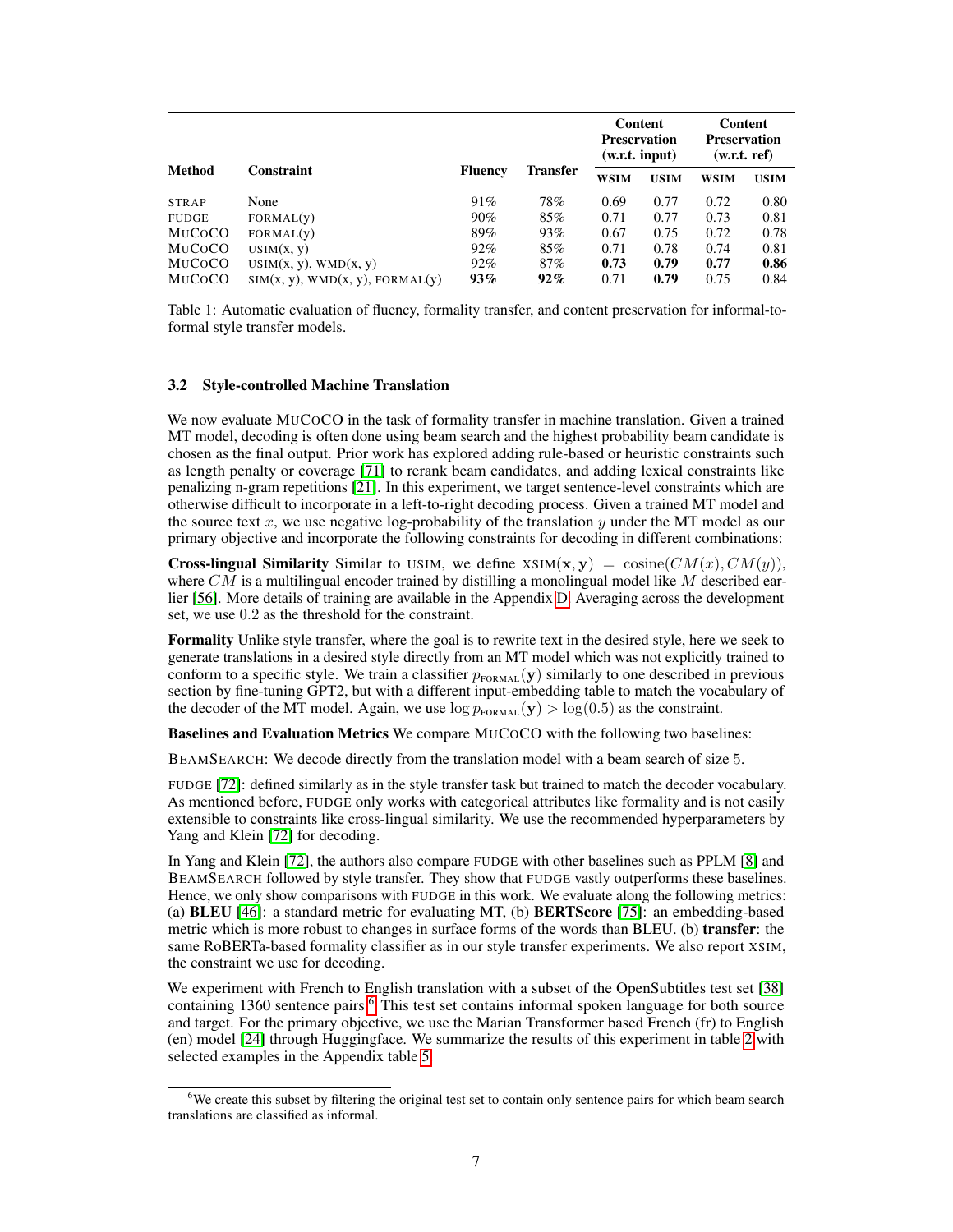<span id="page-6-1"></span>

|               |                                 |                |                 | Content<br><b>Preservation</b><br>(w.r.t. input) |             | Content<br><b>Preservation</b><br>(w.r.t. ref) |             |
|---------------|---------------------------------|----------------|-----------------|--------------------------------------------------|-------------|------------------------------------------------|-------------|
| <b>Method</b> | <b>Constraint</b>               | <b>Fluency</b> | <b>Transfer</b> | <b>WSIM</b>                                      | <b>USIM</b> | <b>WSIM</b>                                    | <b>USIM</b> |
| <b>STRAP</b>  | None                            | 91%            | 78%             | 0.69                                             | 0.77        | 0.72                                           | 0.80        |
| <b>FUDGE</b>  | FORMAL(V)                       | $90\%$         | 85%             | 0.71                                             | 0.77        | 0.73                                           | 0.81        |
| MUCOCO        | FORMAL(V)                       | 89%            | 93%             | 0.67                                             | 0.75        | 0.72                                           | 0.78        |
| MUCOCO        | USIM(x, y)                      | 92%            | 85%             | 0.71                                             | 0.78        | 0.74                                           | 0.81        |
| MUCOCO        | $USIM(x, y)$ , WMD $(x, y)$     | 92%            | 87%             | 0.73                                             | 0.79        | 0.77                                           | 0.86        |
| MUCOCO        | SIM(x, y), WMD(x, y), FORMAL(y) | 93%            | $92\%$          | 0.71                                             | 0.79        | 0.75                                           | 0.84        |

Table 1: Automatic evaluation of fluency, formality transfer, and content preservation for informal-toformal style transfer models.

#### <span id="page-6-0"></span>3.2 Style-controlled Machine Translation

We now evaluate MUCOCO in the task of formality transfer in machine translation. Given a trained MT model, decoding is often done using beam search and the highest probability beam candidate is chosen as the final output. Prior work has explored adding rule-based or heuristic constraints such as length penalty or coverage [\[71\]](#page-12-13) to rerank beam candidates, and adding lexical constraints like penalizing n-gram repetitions [\[21\]](#page-10-17). In this experiment, we target sentence-level constraints which are otherwise difficult to incorporate in a left-to-right decoding process. Given a trained MT model and the source text x, we use negative log-probability of the translation y under the MT model as our primary objective and incorporate the following constraints for decoding in different combinations:

**Cross-lingual Similarity** Similar to USIM, we define  $XSIM(\mathbf{x}, \mathbf{y}) = \text{cosine}(CM(x), CM(y)),$ where  $CM$  is a multilingual encoder trained by distilling a monolingual model like M described earlier [\[56\]](#page-12-14). More details of training are available in the Appendix D. Averaging across the development set, we use 0.2 as the threshold for the constraint.

Formality Unlike style transfer, where the goal is to rewrite text in the desired style, here we seek to generate translations in a desired style directly from an MT model which was not explicitly trained to conform to a specific style. We train a classifier  $p_{\text{FORMAL}}(\mathbf{y})$  similarly to one described in previous section by fine-tuning GPT2, but with a different input-embedding table to match the vocabulary of the decoder of the MT model. Again, we use  $\log p_{\text{FORMAL}}(\mathbf{y}) > \log(0.5)$  as the constraint.

Baselines and Evaluation Metrics We compare MUCOCO with the following two baselines:

BEAMSEARCH: We decode directly from the translation model with a beam search of size 5.

FUDGE [\[72\]](#page-12-1): defined similarly as in the style transfer task but trained to match the decoder vocabulary. As mentioned before, FUDGE only works with categorical attributes like formality and is not easily extensible to constraints like cross-lingual similarity. We use the recommended hyperparameters by Yang and Klein [\[72\]](#page-12-1) for decoding.

In Yang and Klein [\[72\]](#page-12-1), the authors also compare FUDGE with other baselines such as PPLM [\[8\]](#page-10-4) and BEAMSEARCH followed by style transfer. They show that FUDGE vastly outperforms these baselines. Hence, we only show comparisons with FUDGE in this work. We evaluate along the following metrics: (a) BLEU [\[46\]](#page-11-20): a standard metric for evaluating MT, (b) BERTScore [\[75\]](#page-12-15): an embedding-based metric which is more robust to changes in surface forms of the words than BLEU. (b) **transfer**: the same RoBERTa-based formality classifier as in our style transfer experiments. We also report XSIM, the constraint we use for decoding.

We experiment with French to English translation with a subset of the OpenSubtitles test set [\[38\]](#page-11-21) containing 13[6](#page-6-2)0 sentence pairs.<sup>6</sup> This test set contains informal spoken language for both source and target. For the primary objective, we use the Marian Transformer based French (fr) to English (en) model [\[24\]](#page-10-18) through Huggingface. We summarize the results of this experiment in table [2](#page-7-1) with selected examples in the Appendix table 5.

<span id="page-6-2"></span><sup>&</sup>lt;sup>6</sup>We create this subset by filtering the original test set to contain only sentence pairs for which beam search translations are classified as informal.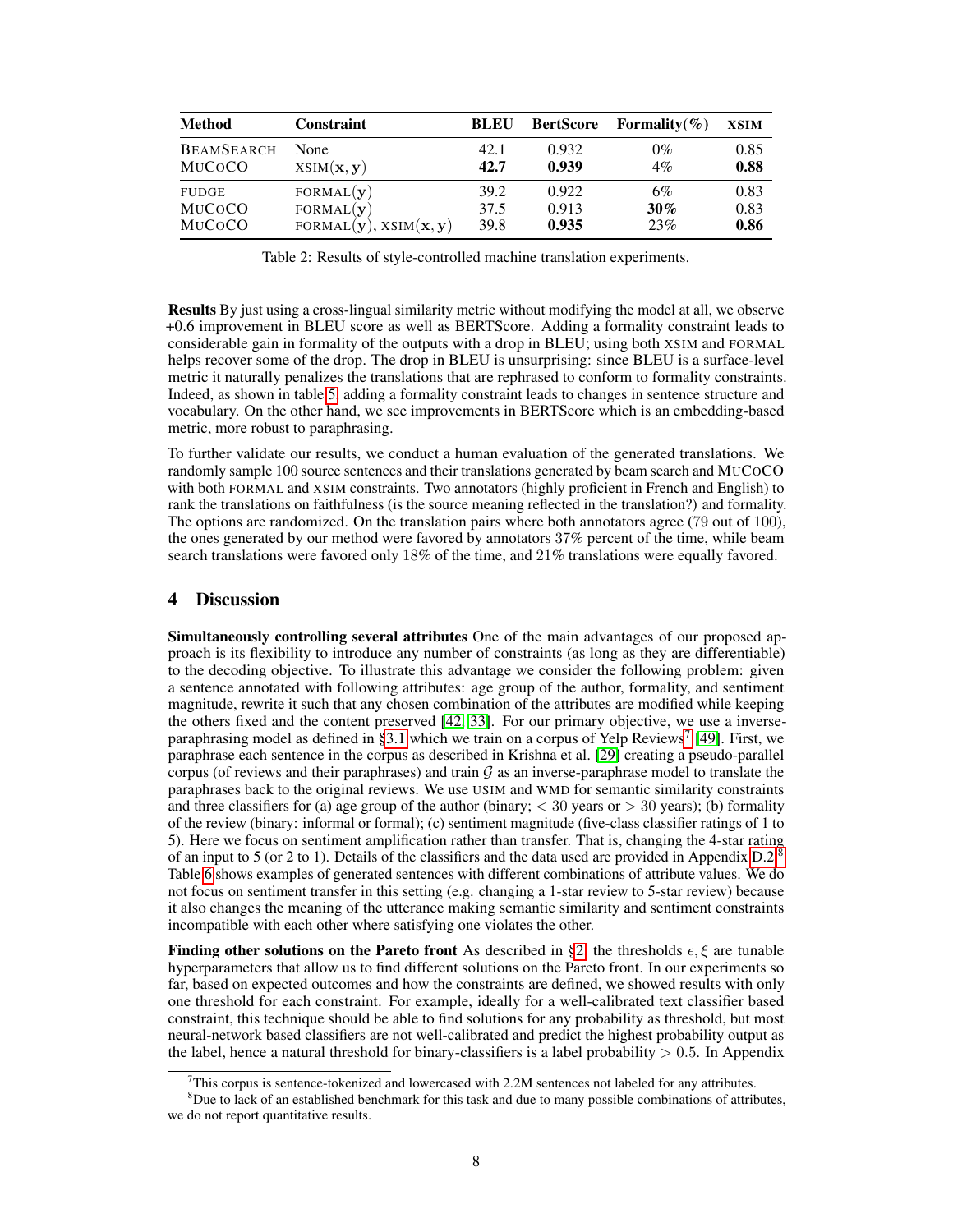<span id="page-7-1"></span>

| <b>Method</b>     | <b>Constraint</b>            | <b>BLEU</b> | <b>BertScore</b> | Formality $(\% )$ | <b>XSIM</b> |
|-------------------|------------------------------|-------------|------------------|-------------------|-------------|
| <b>BEAMSEARCH</b> | None                         | 42.1        | 0.932            | $0\%$             | 0.85        |
| MUCOCO            | XSIM(x, y)                   | 42.7        | 0.939            | 4%                | 0.88        |
| <b>FUDGE</b>      | FORMAL(y)                    | 39.2        | 0.922            | 6%                | 0.83        |
| MUCOCO            | FORMAL(y)                    | 37.5        | 0.913            | $30\%$            | 0.83        |
| MUCOCO            | FORMAL $(y)$ , XSIM $(x, y)$ | 39.8        | 0.935            | 23%               | 0.86        |

Table 2: Results of style-controlled machine translation experiments.

Results By just using a cross-lingual similarity metric without modifying the model at all, we observe +0.6 improvement in BLEU score as well as BERTScore. Adding a formality constraint leads to considerable gain in formality of the outputs with a drop in BLEU; using both XSIM and FORMAL helps recover some of the drop. The drop in BLEU is unsurprising: since BLEU is a surface-level metric it naturally penalizes the translations that are rephrased to conform to formality constraints. Indeed, as shown in table 5, adding a formality constraint leads to changes in sentence structure and vocabulary. On the other hand, we see improvements in BERTScore which is an embedding-based metric, more robust to paraphrasing.

To further validate our results, we conduct a human evaluation of the generated translations. We randomly sample 100 source sentences and their translations generated by beam search and MUCOCO with both FORMAL and XSIM constraints. Two annotators (highly proficient in French and English) to rank the translations on faithfulness (is the source meaning reflected in the translation?) and formality. The options are randomized. On the translation pairs where both annotators agree (79 out of 100), the ones generated by our method were favored by annotators 37% percent of the time, while beam search translations were favored only 18% of the time, and 21% translations were equally favored.

# <span id="page-7-0"></span>4 Discussion

Simultaneously controlling several attributes One of the main advantages of our proposed approach is its flexibility to introduce any number of constraints (as long as they are differentiable) to the decoding objective. To illustrate this advantage we consider the following problem: given a sentence annotated with following attributes: age group of the author, formality, and sentiment magnitude, rewrite it such that any chosen combination of the attributes are modified while keeping the others fixed and the content preserved [\[42,](#page-11-22) [33\]](#page-11-14). For our primary objective, we use a inverse-paraphrasing model as defined in [§3.1](#page-4-0) which we train on a corpus of Yelp Reviews<sup>[7](#page-7-2)</sup> [\[49\]](#page-11-16). First, we paraphrase each sentence in the corpus as described in Krishna et al. [\[29\]](#page-11-5) creating a pseudo-parallel corpus (of reviews and their paraphrases) and train  $G$  as an inverse-paraphrase model to translate the paraphrases back to the original reviews. We use USIM and WMD for semantic similarity constraints and three classifiers for (a) age group of the author (binary;  $<$  30 years or  $>$  30 years); (b) formality of the review (binary: informal or formal); (c) sentiment magnitude (five-class classifier ratings of 1 to 5). Here we focus on sentiment amplification rather than transfer. That is, changing the 4-star rating of an input to 5 (or 2 to 1). Details of the classifiers and the data used are provided in Appendix  $D.2<sup>8</sup>$  $D.2<sup>8</sup>$  $D.2<sup>8</sup>$ Table 6 shows examples of generated sentences with different combinations of attribute values. We do not focus on sentiment transfer in this setting (e.g. changing a 1-star review to 5-star review) because it also changes the meaning of the utterance making semantic similarity and sentiment constraints incompatible with each other where satisfying one violates the other.

**Finding other solutions on the Pareto front** As described in [§2,](#page-1-0) the thresholds  $\epsilon, \xi$  are tunable hyperparameters that allow us to find different solutions on the Pareto front. In our experiments so far, based on expected outcomes and how the constraints are defined, we showed results with only one threshold for each constraint. For example, ideally for a well-calibrated text classifier based constraint, this technique should be able to find solutions for any probability as threshold, but most neural-network based classifiers are not well-calibrated and predict the highest probability output as the label, hence a natural threshold for binary-classifiers is a label probability  $> 0.5$ . In Appendix

<span id="page-7-3"></span><span id="page-7-2"></span> $7$ This corpus is sentence-tokenized and lowercased with 2.2M sentences not labeled for any attributes.

 $8$ Due to lack of an established benchmark for this task and due to many possible combinations of attributes, we do not report quantitative results.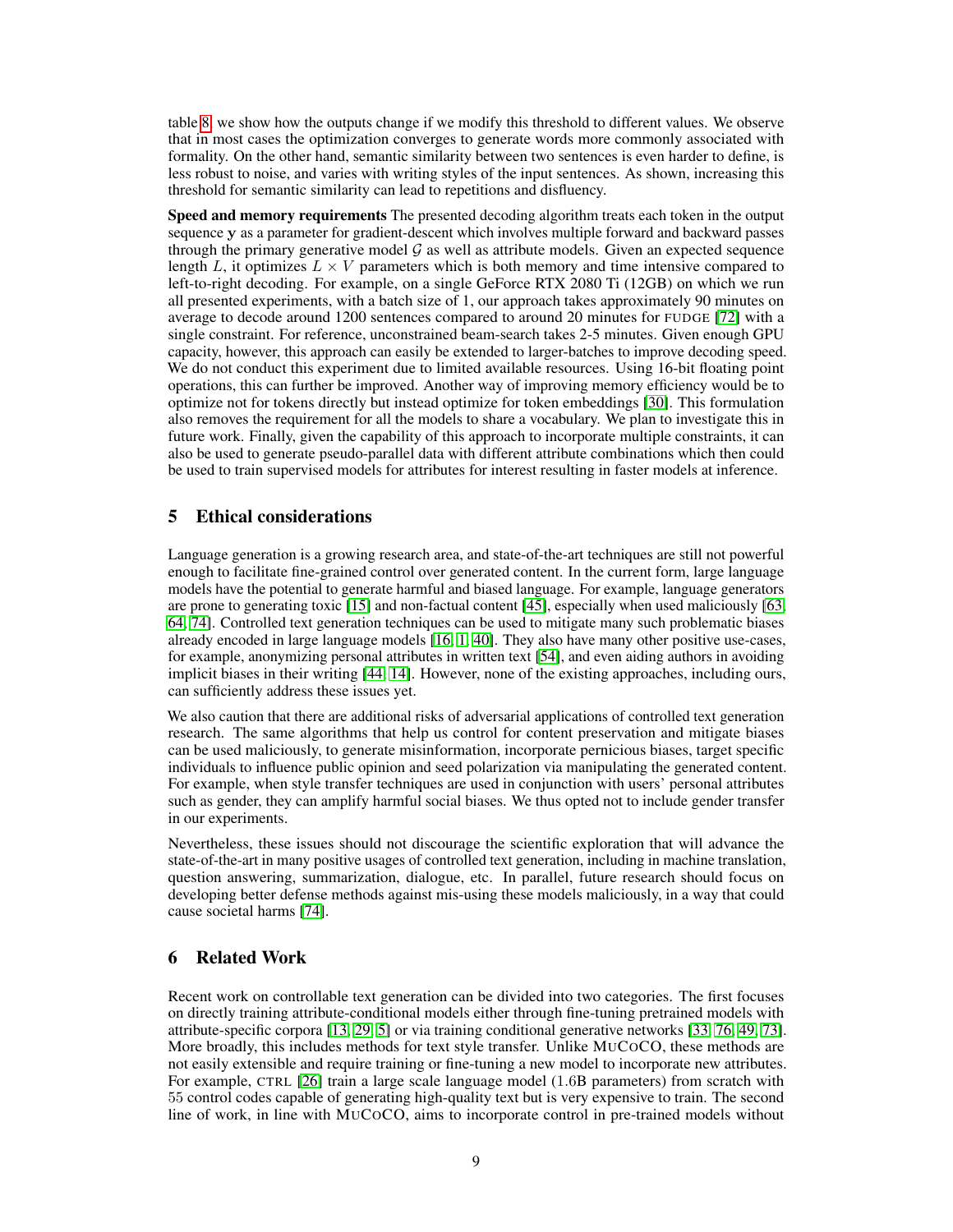table 8, we show how the outputs change if we modify this threshold to different values. We observe that in most cases the optimization converges to generate words more commonly associated with formality. On the other hand, semantic similarity between two sentences is even harder to define, is less robust to noise, and varies with writing styles of the input sentences. As shown, increasing this threshold for semantic similarity can lead to repetitions and disfluency.

Speed and memory requirements The presented decoding algorithm treats each token in the output sequence y as a parameter for gradient-descent which involves multiple forward and backward passes through the primary generative model  $\mathcal G$  as well as attribute models. Given an expected sequence length L, it optimizes  $L \times V$  parameters which is both memory and time intensive compared to left-to-right decoding. For example, on a single GeForce RTX 2080 Ti (12GB) on which we run all presented experiments, with a batch size of 1, our approach takes approximately 90 minutes on average to decode around 1200 sentences compared to around 20 minutes for FUDGE [\[72\]](#page-12-1) with a single constraint. For reference, unconstrained beam-search takes 2-5 minutes. Given enough GPU capacity, however, this approach can easily be extended to larger-batches to improve decoding speed. We do not conduct this experiment due to limited available resources. Using 16-bit floating point operations, this can further be improved. Another way of improving memory efficiency would be to optimize not for tokens directly but instead optimize for token embeddings [\[30\]](#page-11-9). This formulation also removes the requirement for all the models to share a vocabulary. We plan to investigate this in future work. Finally, given the capability of this approach to incorporate multiple constraints, it can also be used to generate pseudo-parallel data with different attribute combinations which then could be used to train supervised models for attributes for interest resulting in faster models at inference.

## 5 Ethical considerations

Language generation is a growing research area, and state-of-the-art techniques are still not powerful enough to facilitate fine-grained control over generated content. In the current form, large language models have the potential to generate harmful and biased language. For example, language generators are prone to generating toxic [\[15\]](#page-10-19) and non-factual content [\[45\]](#page-11-2), especially when used maliciously [\[63,](#page-12-16) [64,](#page-12-2) [74\]](#page-12-17). Controlled text generation techniques can be used to mitigate many such problematic biases already encoded in large language models [\[16,](#page-10-1) [1,](#page-9-2) [40\]](#page-11-6). They also have many other positive use-cases, for example, anonymizing personal attributes in written text [\[54\]](#page-12-18), and even aiding authors in avoiding implicit biases in their writing [\[44,](#page-11-23) [14\]](#page-10-20). However, none of the existing approaches, including ours, can sufficiently address these issues yet.

We also caution that there are additional risks of adversarial applications of controlled text generation research. The same algorithms that help us control for content preservation and mitigate biases can be used maliciously, to generate misinformation, incorporate pernicious biases, target specific individuals to influence public opinion and seed polarization via manipulating the generated content. For example, when style transfer techniques are used in conjunction with users' personal attributes such as gender, they can amplify harmful social biases. We thus opted not to include gender transfer in our experiments.

Nevertheless, these issues should not discourage the scientific exploration that will advance the state-of-the-art in many positive usages of controlled text generation, including in machine translation, question answering, summarization, dialogue, etc. In parallel, future research should focus on developing better defense methods against mis-using these models maliciously, in a way that could cause societal harms [\[74\]](#page-12-17).

# 6 Related Work

Recent work on controllable text generation can be divided into two categories. The first focuses on directly training attribute-conditional models either through fine-tuning pretrained models with attribute-specific corpora [\[13,](#page-10-21) [29,](#page-11-5) [5\]](#page-10-22) or via training conditional generative networks [\[33,](#page-11-14) [76,](#page-12-19) [49,](#page-11-16) [73\]](#page-12-20). More broadly, this includes methods for text style transfer. Unlike MUCOCO, these methods are not easily extensible and require training or fine-tuning a new model to incorporate new attributes. For example, CTRL [\[26\]](#page-10-2) train a large scale language model (1.6B parameters) from scratch with 55 control codes capable of generating high-quality text but is very expensive to train. The second line of work, in line with MUCOCO, aims to incorporate control in pre-trained models without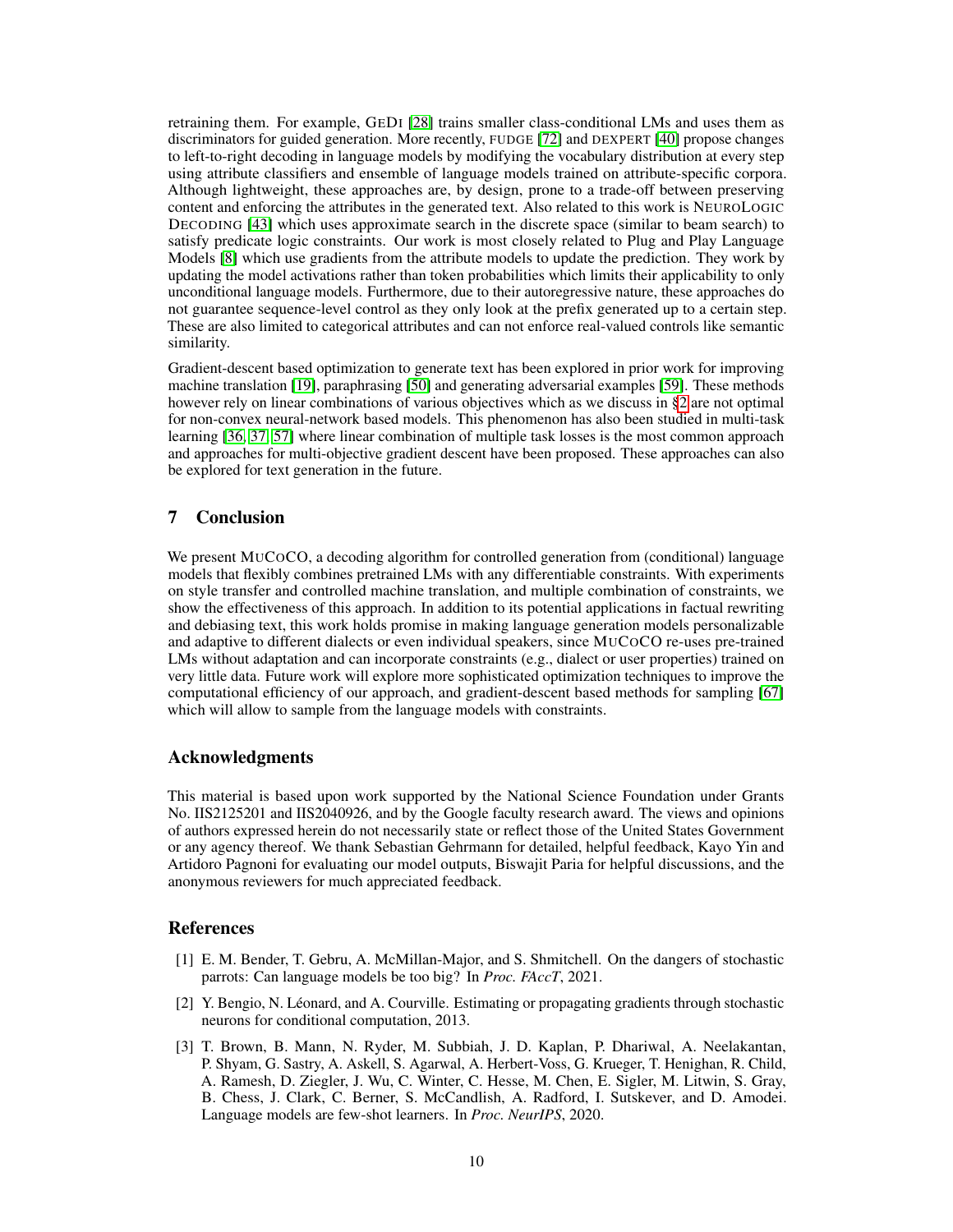retraining them. For example, GEDI [\[28\]](#page-11-3) trains smaller class-conditional LMs and uses them as discriminators for guided generation. More recently, FUDGE [\[72\]](#page-12-1) and DEXPERT [\[40\]](#page-11-6) propose changes to left-to-right decoding in language models by modifying the vocabulary distribution at every step using attribute classifiers and ensemble of language models trained on attribute-specific corpora. Although lightweight, these approaches are, by design, prone to a trade-off between preserving content and enforcing the attributes in the generated text. Also related to this work is NEUROLOGIC DECODING [\[43\]](#page-11-24) which uses approximate search in the discrete space (similar to beam search) to satisfy predicate logic constraints. Our work is most closely related to Plug and Play Language Models [\[8\]](#page-10-4) which use gradients from the attribute models to update the prediction. They work by updating the model activations rather than token probabilities which limits their applicability to only unconditional language models. Furthermore, due to their autoregressive nature, these approaches do not guarantee sequence-level control as they only look at the prefix generated up to a certain step. These are also limited to categorical attributes and can not enforce real-valued controls like semantic similarity.

Gradient-descent based optimization to generate text has been explored in prior work for improving machine translation [\[19\]](#page-10-5), paraphrasing [\[50\]](#page-11-10) and generating adversarial examples [\[59\]](#page-12-6). These methods however rely on linear combinations of various objectives which as we discuss in [§2](#page-1-0) are not optimal for non-convex neural-network based models. This phenomenon has also been studied in multi-task learning [\[36,](#page-11-11) [37,](#page-11-12) [57\]](#page-12-21) where linear combination of multiple task losses is the most common approach and approaches for multi-objective gradient descent have been proposed. These approaches can also be explored for text generation in the future.

# 7 Conclusion

We present MUCOCO, a decoding algorithm for controlled generation from (conditional) language models that flexibly combines pretrained LMs with any differentiable constraints. With experiments on style transfer and controlled machine translation, and multiple combination of constraints, we show the effectiveness of this approach. In addition to its potential applications in factual rewriting and debiasing text, this work holds promise in making language generation models personalizable and adaptive to different dialects or even individual speakers, since MUCOCO re-uses pre-trained LMs without adaptation and can incorporate constraints (e.g., dialect or user properties) trained on very little data. Future work will explore more sophisticated optimization techniques to improve the computational efficiency of our approach, and gradient-descent based methods for sampling [\[67\]](#page-12-22) which will allow to sample from the language models with constraints.

# Acknowledgments

This material is based upon work supported by the National Science Foundation under Grants No. IIS2125201 and IIS2040926, and by the Google faculty research award. The views and opinions of authors expressed herein do not necessarily state or reflect those of the United States Government or any agency thereof. We thank Sebastian Gehrmann for detailed, helpful feedback, Kayo Yin and Artidoro Pagnoni for evaluating our model outputs, Biswajit Paria for helpful discussions, and the anonymous reviewers for much appreciated feedback.

## References

- <span id="page-9-2"></span>[1] E. M. Bender, T. Gebru, A. McMillan-Major, and S. Shmitchell. On the dangers of stochastic parrots: Can language models be too big? In *Proc. FAccT*, 2021.
- <span id="page-9-1"></span>[2] Y. Bengio, N. Léonard, and A. Courville. Estimating or propagating gradients through stochastic neurons for conditional computation, 2013.
- <span id="page-9-0"></span>[3] T. Brown, B. Mann, N. Ryder, M. Subbiah, J. D. Kaplan, P. Dhariwal, A. Neelakantan, P. Shyam, G. Sastry, A. Askell, S. Agarwal, A. Herbert-Voss, G. Krueger, T. Henighan, R. Child, A. Ramesh, D. Ziegler, J. Wu, C. Winter, C. Hesse, M. Chen, E. Sigler, M. Litwin, S. Gray, B. Chess, J. Clark, C. Berner, S. McCandlish, A. Radford, I. Sutskever, and D. Amodei. Language models are few-shot learners. In *Proc. NeurIPS*, 2020.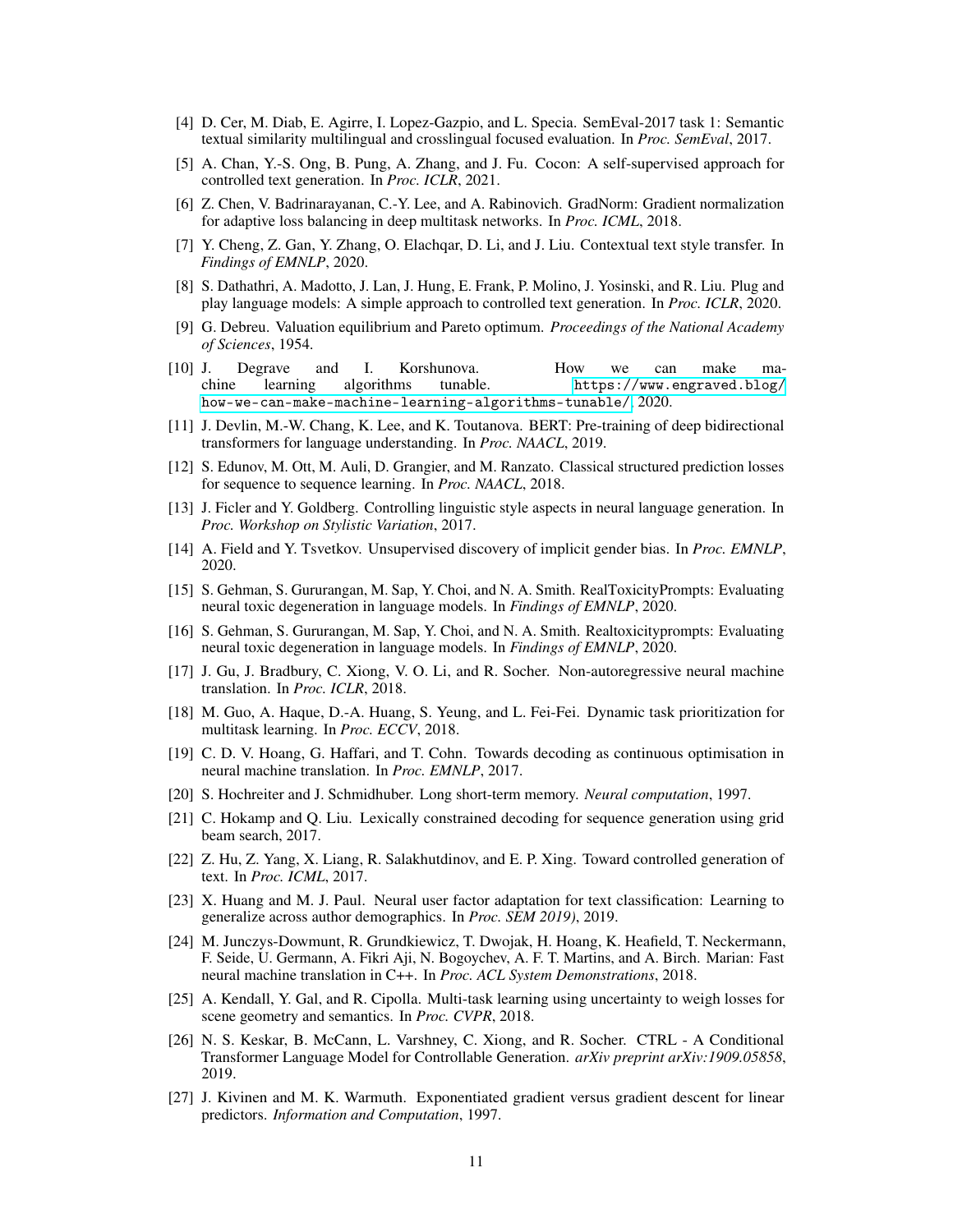- <span id="page-10-16"></span>[4] D. Cer, M. Diab, E. Agirre, I. Lopez-Gazpio, and L. Specia. SemEval-2017 task 1: Semantic textual similarity multilingual and crosslingual focused evaluation. In *Proc. SemEval*, 2017.
- <span id="page-10-22"></span>[5] A. Chan, Y.-S. Ong, B. Pung, A. Zhang, and J. Fu. Cocon: A self-supervised approach for controlled text generation. In *Proc. ICLR*, 2021.
- <span id="page-10-10"></span>[6] Z. Chen, V. Badrinarayanan, C.-Y. Lee, and A. Rabinovich. GradNorm: Gradient normalization for adaptive loss balancing in deep multitask networks. In *Proc. ICML*, 2018.
- <span id="page-10-3"></span>[7] Y. Cheng, Z. Gan, Y. Zhang, O. Elachqar, D. Li, and J. Liu. Contextual text style transfer. In *Findings of EMNLP*, 2020.
- <span id="page-10-4"></span>[8] S. Dathathri, A. Madotto, J. Lan, J. Hung, E. Frank, P. Molino, J. Yosinski, and R. Liu. Plug and play language models: A simple approach to controlled text generation. In *Proc. ICLR*, 2020.
- <span id="page-10-12"></span>[9] G. Debreu. Valuation equilibrium and Pareto optimum. *Proceedings of the National Academy of Sciences*, 1954.
- <span id="page-10-13"></span>[10] J. Degrave and I. Korshunova. How we can make machine learning algorithms tunable. [https://www.engraved.blog/](https://www.engraved.blog/how-we-can-make-machine-learning-algorithms-tunable/) [how-we-can-make-machine-learning-algorithms-tunable/](https://www.engraved.blog/how-we-can-make-machine-learning-algorithms-tunable/), 2020.
- <span id="page-10-0"></span>[11] J. Devlin, M.-W. Chang, K. Lee, and K. Toutanova. BERT: Pre-training of deep bidirectional transformers for language understanding. In *Proc. NAACL*, 2019.
- <span id="page-10-7"></span>[12] S. Edunov, M. Ott, M. Auli, D. Grangier, and M. Ranzato. Classical structured prediction losses for sequence to sequence learning. In *Proc. NAACL*, 2018.
- <span id="page-10-21"></span>[13] J. Ficler and Y. Goldberg. Controlling linguistic style aspects in neural language generation. In *Proc. Workshop on Stylistic Variation*, 2017.
- <span id="page-10-20"></span>[14] A. Field and Y. Tsvetkov. Unsupervised discovery of implicit gender bias. In *Proc. EMNLP*, 2020.
- <span id="page-10-19"></span>[15] S. Gehman, S. Gururangan, M. Sap, Y. Choi, and N. A. Smith. RealToxicityPrompts: Evaluating neural toxic degeneration in language models. In *Findings of EMNLP*, 2020.
- <span id="page-10-1"></span>[16] S. Gehman, S. Gururangan, M. Sap, Y. Choi, and N. A. Smith. Realtoxicityprompts: Evaluating neural toxic degeneration in language models. In *Findings of EMNLP*, 2020.
- <span id="page-10-8"></span>[17] J. Gu, J. Bradbury, C. Xiong, V. O. Li, and R. Socher. Non-autoregressive neural machine translation. In *Proc. ICLR*, 2018.
- <span id="page-10-11"></span>[18] M. Guo, A. Haque, D.-A. Huang, S. Yeung, and L. Fei-Fei. Dynamic task prioritization for multitask learning. In *Proc. ECCV*, 2018.
- <span id="page-10-5"></span>[19] C. D. V. Hoang, G. Haffari, and T. Cohn. Towards decoding as continuous optimisation in neural machine translation. In *Proc. EMNLP*, 2017.
- <span id="page-10-6"></span>[20] S. Hochreiter and J. Schmidhuber. Long short-term memory. *Neural computation*, 1997.
- <span id="page-10-17"></span>[21] C. Hokamp and Q. Liu. Lexically constrained decoding for sequence generation using grid beam search, 2017.
- <span id="page-10-15"></span>[22] Z. Hu, Z. Yang, X. Liang, R. Salakhutdinov, and E. P. Xing. Toward controlled generation of text. In *Proc. ICML*, 2017.
- [23] X. Huang and M. J. Paul. Neural user factor adaptation for text classification: Learning to generalize across author demographics. In *Proc. SEM 2019)*, 2019.
- <span id="page-10-18"></span>[24] M. Junczys-Dowmunt, R. Grundkiewicz, T. Dwojak, H. Hoang, K. Heafield, T. Neckermann, F. Seide, U. Germann, A. Fikri Aji, N. Bogoychev, A. F. T. Martins, and A. Birch. Marian: Fast neural machine translation in C++. In *Proc. ACL System Demonstrations*, 2018.
- <span id="page-10-9"></span>[25] A. Kendall, Y. Gal, and R. Cipolla. Multi-task learning using uncertainty to weigh losses for scene geometry and semantics. In *Proc. CVPR*, 2018.
- <span id="page-10-2"></span>[26] N. S. Keskar, B. McCann, L. Varshney, C. Xiong, and R. Socher. CTRL - A Conditional Transformer Language Model for Controllable Generation. *arXiv preprint arXiv:1909.05858*, 2019.
- <span id="page-10-14"></span>[27] J. Kivinen and M. K. Warmuth. Exponentiated gradient versus gradient descent for linear predictors. *Information and Computation*, 1997.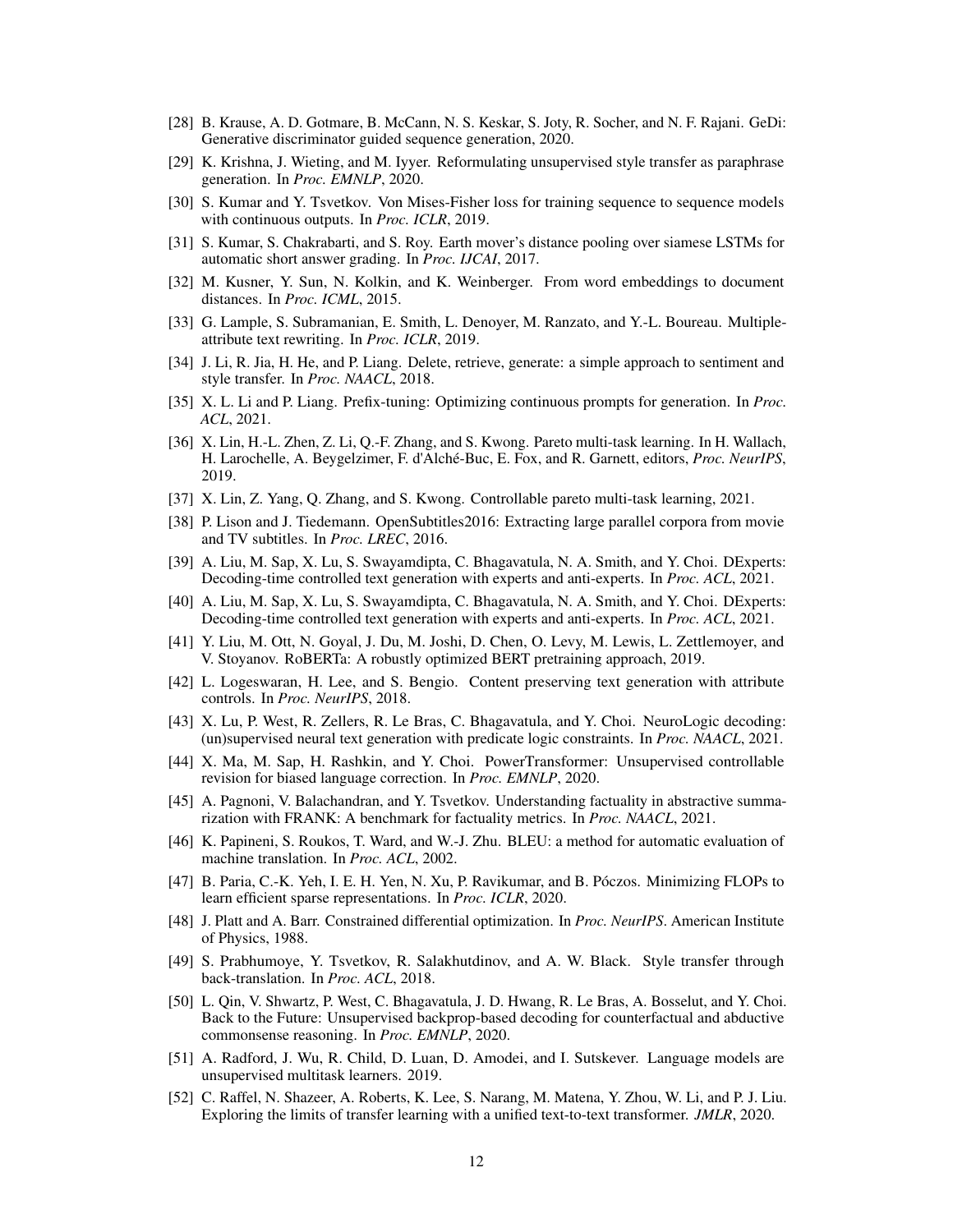- <span id="page-11-3"></span>[28] B. Krause, A. D. Gotmare, B. McCann, N. S. Keskar, S. Joty, R. Socher, and N. F. Rajani. GeDi: Generative discriminator guided sequence generation, 2020.
- <span id="page-11-5"></span>[29] K. Krishna, J. Wieting, and M. Iyyer. Reformulating unsupervised style transfer as paraphrase generation. In *Proc. EMNLP*, 2020.
- <span id="page-11-9"></span>[30] S. Kumar and Y. Tsvetkov. Von Mises-Fisher loss for training sequence to sequence models with continuous outputs. In *Proc. ICLR*, 2019.
- <span id="page-11-18"></span>[31] S. Kumar, S. Chakrabarti, and S. Roy. Earth mover's distance pooling over siamese LSTMs for automatic short answer grading. In *Proc. IJCAI*, 2017.
- <span id="page-11-17"></span>[32] M. Kusner, Y. Sun, N. Kolkin, and K. Weinberger. From word embeddings to document distances. In *Proc. ICML*, 2015.
- <span id="page-11-14"></span>[33] G. Lample, S. Subramanian, E. Smith, L. Denoyer, M. Ranzato, and Y.-L. Boureau. Multipleattribute text rewriting. In *Proc. ICLR*, 2019.
- <span id="page-11-15"></span>[34] J. Li, R. Jia, H. He, and P. Liang. Delete, retrieve, generate: a simple approach to sentiment and style transfer. In *Proc. NAACL*, 2018.
- <span id="page-11-4"></span>[35] X. L. Li and P. Liang. Prefix-tuning: Optimizing continuous prompts for generation. In *Proc. ACL*, 2021.
- <span id="page-11-11"></span>[36] X. Lin, H.-L. Zhen, Z. Li, Q.-F. Zhang, and S. Kwong. Pareto multi-task learning. In H. Wallach, H. Larochelle, A. Beygelzimer, F. d'Alché-Buc, E. Fox, and R. Garnett, editors, *Proc. NeurIPS*, 2019.
- <span id="page-11-12"></span>[37] X. Lin, Z. Yang, Q. Zhang, and S. Kwong. Controllable pareto multi-task learning, 2021.
- <span id="page-11-21"></span>[38] P. Lison and J. Tiedemann. OpenSubtitles2016: Extracting large parallel corpora from movie and TV subtitles. In *Proc. LREC*, 2016.
- <span id="page-11-7"></span>[39] A. Liu, M. Sap, X. Lu, S. Swayamdipta, C. Bhagavatula, N. A. Smith, and Y. Choi. DExperts: Decoding-time controlled text generation with experts and anti-experts. In *Proc. ACL*, 2021.
- <span id="page-11-6"></span>[40] A. Liu, M. Sap, X. Lu, S. Swayamdipta, C. Bhagavatula, N. A. Smith, and Y. Choi. DExperts: Decoding-time controlled text generation with experts and anti-experts. In *Proc. ACL*, 2021.
- <span id="page-11-19"></span>[41] Y. Liu, M. Ott, N. Goyal, J. Du, M. Joshi, D. Chen, O. Levy, M. Lewis, L. Zettlemoyer, and V. Stoyanov. RoBERTa: A robustly optimized BERT pretraining approach, 2019.
- <span id="page-11-22"></span>[42] L. Logeswaran, H. Lee, and S. Bengio. Content preserving text generation with attribute controls. In *Proc. NeurIPS*, 2018.
- <span id="page-11-24"></span>[43] X. Lu, P. West, R. Zellers, R. Le Bras, C. Bhagavatula, and Y. Choi. NeuroLogic decoding: (un)supervised neural text generation with predicate logic constraints. In *Proc. NAACL*, 2021.
- <span id="page-11-23"></span>[44] X. Ma, M. Sap, H. Rashkin, and Y. Choi. PowerTransformer: Unsupervised controllable revision for biased language correction. In *Proc. EMNLP*, 2020.
- <span id="page-11-2"></span>[45] A. Pagnoni, V. Balachandran, and Y. Tsvetkov. Understanding factuality in abstractive summarization with FRANK: A benchmark for factuality metrics. In *Proc. NAACL*, 2021.
- <span id="page-11-20"></span>[46] K. Papineni, S. Roukos, T. Ward, and W.-J. Zhu. BLEU: a method for automatic evaluation of machine translation. In *Proc. ACL*, 2002.
- <span id="page-11-13"></span>[47] B. Paria, C.-K. Yeh, I. E. H. Yen, N. Xu, P. Ravikumar, and B. Póczos. Minimizing FLOPs to learn efficient sparse representations. In *Proc. ICLR*, 2020.
- <span id="page-11-8"></span>[48] J. Platt and A. Barr. Constrained differential optimization. In *Proc. NeurIPS*. American Institute of Physics, 1988.
- <span id="page-11-16"></span>[49] S. Prabhumoye, Y. Tsvetkov, R. Salakhutdinov, and A. W. Black. Style transfer through back-translation. In *Proc. ACL*, 2018.
- <span id="page-11-10"></span>[50] L. Qin, V. Shwartz, P. West, C. Bhagavatula, J. D. Hwang, R. Le Bras, A. Bosselut, and Y. Choi. Back to the Future: Unsupervised backprop-based decoding for counterfactual and abductive commonsense reasoning. In *Proc. EMNLP*, 2020.
- <span id="page-11-0"></span>[51] A. Radford, J. Wu, R. Child, D. Luan, D. Amodei, and I. Sutskever. Language models are unsupervised multitask learners. 2019.
- <span id="page-11-1"></span>[52] C. Raffel, N. Shazeer, A. Roberts, K. Lee, S. Narang, M. Matena, Y. Zhou, W. Li, and P. J. Liu. Exploring the limits of transfer learning with a unified text-to-text transformer. *JMLR*, 2020.